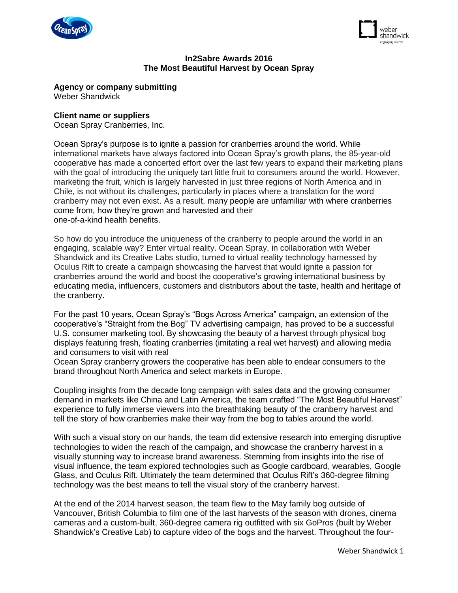



## **In2Sabre Awards 2016 The Most Beautiful Harvest by Ocean Spray**

**Agency or company submitting** 

Weber Shandwick

## **Client name or suppliers**

Ocean Spray Cranberries, Inc.

Ocean Spray's purpose is to ignite a passion for cranberries around the world. While international markets have always factored into Ocean Spray's growth plans, the 85-year-old cooperative has made a concerted effort over the last few years to expand their marketing plans with the goal of introducing the uniquely tart little fruit to consumers around the world. However, marketing the fruit, which is largely harvested in just three regions of North America and in Chile, is not without its challenges, particularly in places where a translation for the word cranberry may not even exist. As a result, many people are unfamiliar with where cranberries come from, how they're grown and harvested and their one-of-a-kind health benefits.

So how do you introduce the uniqueness of the cranberry to people around the world in an engaging, scalable way? Enter virtual reality. Ocean Spray, in collaboration with Weber Shandwick and its Creative Labs studio, turned to virtual reality technology harnessed by Oculus Rift to create a campaign showcasing the harvest that would ignite a passion for cranberries around the world and boost the cooperative's growing international business by educating media, influencers, customers and distributors about the taste, health and heritage of the cranberry.

For the past 10 years, Ocean Spray's "Bogs Across America" campaign, an extension of the cooperative's "Straight from the Bog" TV advertising campaign, has proved to be a successful U.S. consumer marketing tool. By showcasing the beauty of a harvest through physical bog displays featuring fresh, floating cranberries (imitating a real wet harvest) and allowing media and consumers to visit with real

Ocean Spray cranberry growers the cooperative has been able to endear consumers to the brand throughout North America and select markets in Europe.

Coupling insights from the decade long campaign with sales data and the growing consumer demand in markets like China and Latin America, the team crafted "The Most Beautiful Harvest" experience to fully immerse viewers into the breathtaking beauty of the cranberry harvest and tell the story of how cranberries make their way from the bog to tables around the world.

With such a visual story on our hands, the team did extensive research into emerging disruptive technologies to widen the reach of the campaign, and showcase the cranberry harvest in a visually stunning way to increase brand awareness. Stemming from insights into the rise of visual influence, the team explored technologies such as Google cardboard, wearables, Google Glass, and Oculus Rift. Ultimately the team determined that Oculus Rift's 360-degree filming technology was the best means to tell the visual story of the cranberry harvest.

At the end of the 2014 harvest season, the team flew to the May family bog outside of Vancouver, British Columbia to film one of the last harvests of the season with drones, cinema cameras and a custom-built, 360-degree camera rig outfitted with six GoPros (built by Weber Shandwick's Creative Lab) to capture video of the bogs and the harvest. Throughout the four-